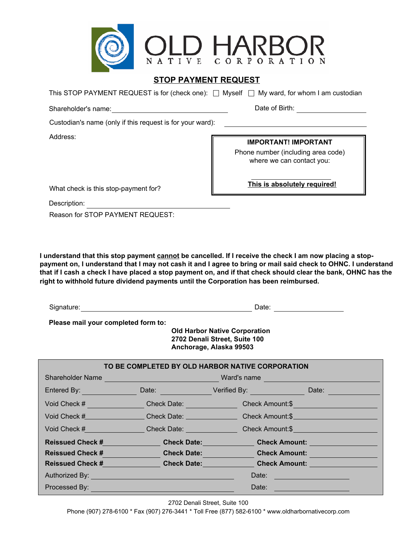

## **STOP PAYMENT REQUEST**

This STOP PAYMENT REQUEST is for (check one):  $\Box$  Myself  $\Box$  My ward, for whom I am custodian

Shareholder's name: Shareholder's name: Date of Birth:

Custodian's name (only if this request is for your ward):

Address:

**IMPORTANT! IMPORTANT**

Phone number (including area code) where we can contact you:

What check is this stop-payment for?

Description: **Example 2018** 

Reason for STOP PAYMENT REQUEST:

**I understand that this stop payment cannot be cancelled. If I receive the check I am now placing a stoppayment on, I understand that I may not cash it and I agree to bring or mail said check to OHNC. I understand that if I cash a check I have placed a stop payment on, and if that check should clear the bank, OHNC has the right to withhold future dividend payments until the Corporation has been reimbursed.**

Signature: Date:

**Please mail your completed form to:**

 **Old Harbor Native Corporation 2702 Denali Street, Suite 100 Anchorage, Alaska 99503**

| TO BE COMPLETED BY OLD HARBOR NATIVE CORPORATION                                                                                                                                                                              |  |                                                                                                                                                                                                                                     |  |
|-------------------------------------------------------------------------------------------------------------------------------------------------------------------------------------------------------------------------------|--|-------------------------------------------------------------------------------------------------------------------------------------------------------------------------------------------------------------------------------------|--|
|                                                                                                                                                                                                                               |  |                                                                                                                                                                                                                                     |  |
|                                                                                                                                                                                                                               |  | Entered By: Nate: Nate: Network of Verified By: Network of Date: Network Date: Network Date: Network Date: Network Date: Network Date: Network Date: Network Date: Network Date: Network Date: Network Date: Network Date: Net      |  |
|                                                                                                                                                                                                                               |  | Void Check # Check Date: Check Date: Check Amount:\$                                                                                                                                                                                |  |
|                                                                                                                                                                                                                               |  | Void Check # Check Date: Check Date: Check Amount:\$                                                                                                                                                                                |  |
|                                                                                                                                                                                                                               |  | Void Check # Check Date: Check Date: Check Amount:\$                                                                                                                                                                                |  |
| <b>Reissued Check # Reissued Check #</b>                                                                                                                                                                                      |  | <b>Check Date:</b> Check Amount: Check is a strategy of the change of the change of the change of the change of the change of the change of the change of the change of the change of the change of the change of the change of the |  |
|                                                                                                                                                                                                                               |  | Reissued Check # Check Date: Check Onto Check Amount:                                                                                                                                                                               |  |
|                                                                                                                                                                                                                               |  | Reissued Check #         Check Date:        Check Amount:                                                                                                                                                                           |  |
| Authorized By: New York State Authorized By:                                                                                                                                                                                  |  | Date: <u>Date: Electronic Property</u>                                                                                                                                                                                              |  |
| Processed By: New York Street, New York Street, New York Street, New York Street, New York Street, New York Street, New York Street, New York Street, New York Street, New York Street, New York Street, New York Street, New |  | Date: <b>Date: Date: Date: Date: Date: Date: Date: Date: Date: Date: Date: Date: Date: Date: Date: Date: Date: Date: Date: Date: Date: Date: Date: Date: Date: Date: Date:</b>                                                      |  |

2702 Denali Street, Suite 100

Phone (907) 278-6100 \* Fax (907) 276-3441 \* Toll Free (877) 582-6100 \* www.oldharbornativecorp.com